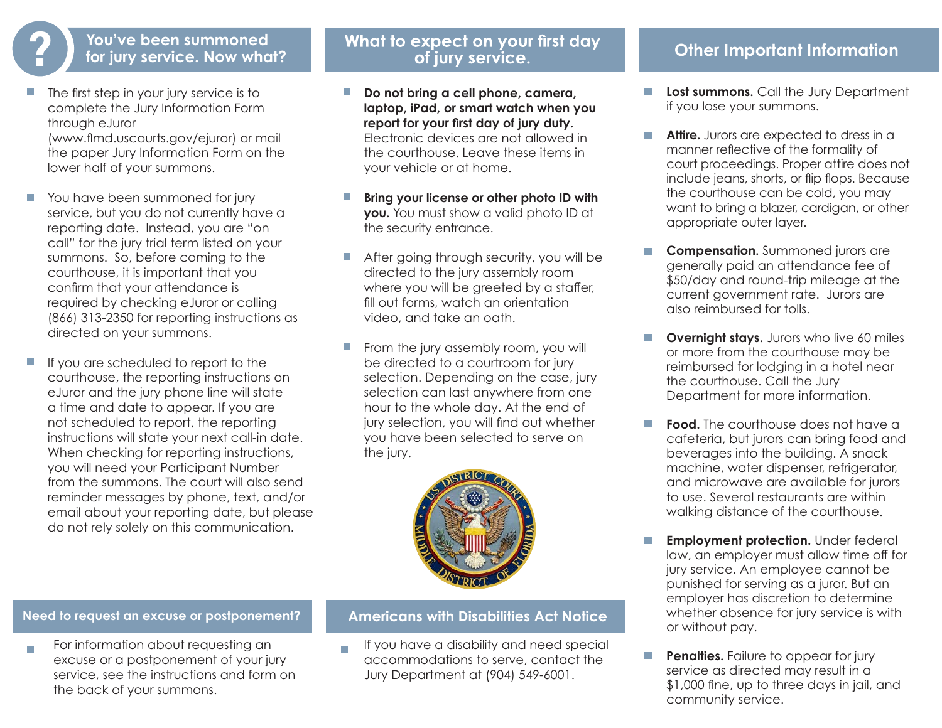- The first step in your jury service is to complete the Jury Information Form through eJuror (www.flmd.uscourts.gov/ejuror) or mail the paper Jury Information Form on the lower half of your summons.
- You have been summoned for jury service, but you do not currently have a reporting date. Instead, you are "on call" for the jury trial term listed on your summons. So, before coming to the courthouse, it is important that you confirm that your attendance is required by checking eJuror or calling (866) 313-2350 for reporting instructions as directed on your summons.
- $\mathcal{L}_{\mathcal{A}}$ If you are scheduled to report to the courthouse, the reporting instructions on eJuror and the jury phone line will state a time and date to appear. If you are not scheduled to report, the reporting instructions will state your next call-in date. When checking for reporting instructions, you will need your Participant Number from the summons. The court will also send reminder messages by phone, text, and/or email about your reporting date, but please do not rely solely on this communication.

# **? /** You've been summoned **a What to expect on your first day Other Important Information**<br> **P** for jury service. Now what? The of jury service.

- **Do not bring a cell phone, camera, laptop, iPad, or smart watch when you report for your first day of jury duty.** Electronic devices are not allowed in the courthouse. Leave these items in your vehicle or at home.
- **Bring your license or other photo ID with you.** You must show a valid photo ID at the security entrance.
- After going through security, you will be directed to the jury assembly room where you will be greeted by a staffer, fill out forms, watch an orientation video, and take an oath.
- From the jury assembly room, you will be directed to a courtroom for jury selection. Depending on the case, jury selection can last anywhere from one hour to the whole day. At the end of jury selection, you will find out whether you have been selected to serve on the jury.



#### **Need to request an excuse or postponement? Americans with Disabilities Act Notice**

For information about requesting an  $\overline{\mathcal{C}}$ excuse or a postponement of your jury service, see the instructions and form on the back of your summons.

If you have a disability and need special  $\overline{\phantom{a}}$ accommodations to serve, contact the Jury Department at (904) 549-6001.

- **Lost summons.** Call the Jury Department  $\overline{\phantom{a}}$ if you lose your summons.
- **Attire.** Jurors are expected to dress in a manner reflective of the formality of court proceedings. Proper attire does not include jeans, shorts, or flip flops. Because the courthouse can be cold, you may want to bring a blazer, cardigan, or other appropriate outer layer.
- $\mathcal{L}_{\mathcal{A}}$ **Compensation.** Summoned jurors are generally paid an attendance fee of \$50/day and round-trip mileage at the current government rate. Jurors are also reimbursed for tolls.
- **Overnight stays.** Jurors who live 60 miles or more from the courthouse may be reimbursed for lodging in a hotel near the courthouse. Call the Jury Department for more information.
- $\mathcal{L}_{\mathcal{A}}$ **Food.** The courthouse does not have a cafeteria, but jurors can bring food and beverages into the building. A snack machine, water dispenser, refrigerator, and microwave are available for jurors to use. Several restaurants are within walking distance of the courthouse.
- **Employment protection.** Under federal law, an employer must allow time off for jury service. An employee cannot be punished for serving as a juror. But an employer has discretion to determine whether absence for jury service is with or without pay.
- **Penalties.** Failure to appear for jury service as directed may result in a \$1,000 fine, up to three days in jail, and community service.